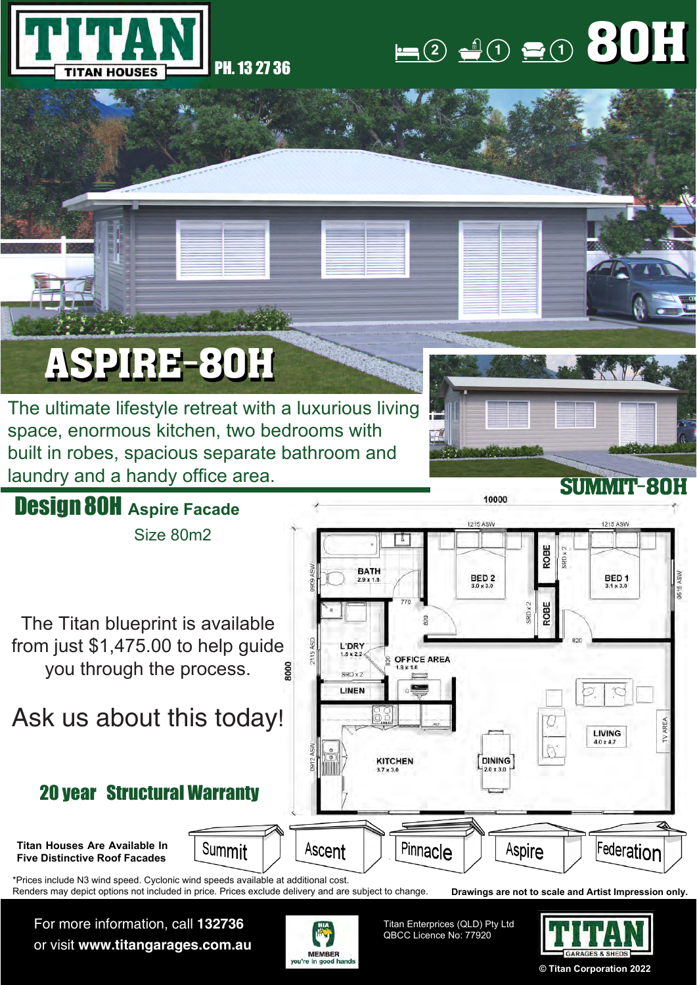



## ASPIRE-80H

The ultimate lifestyle retreat with a luxurious living space, enormous kitchen, two bedrooms with built in robes, spacious separate bathroom and laundry and a handy office area.



For more information, call **132736** or visit **www.titangarages.com.au**



Titan Enterprices (QLD) Pty Ltd QBCC Licence No: 77920



**© Titan Corporation 2022**